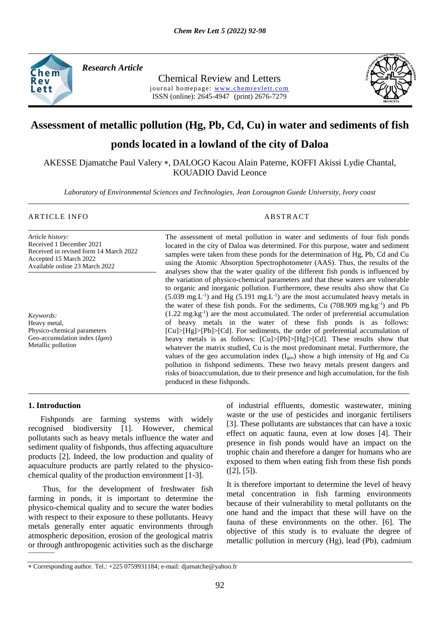

*Research Article* 

Chemical Review and Letters journal homepage: www.chemrevlett.com ISSN (online): 2645-4947(print) 2676-7279



# **Assessment of metallic pollution (Hg, Pb, Cd, Cu) in water and sediments of fish**

# **ponds located in a lowland of the city of Daloa**

AKESSE Djamatche Paul Valery \*, DALOGO Kacou Alain Paterne, KOFFI Akissi Lydie Chantal, KOUADIO David Leonce

*Laboratory of Environmental Sciences and Technologies, Jean Lorougnon Guede University, Ivory coast*

# ARTICLE INFO ABSTRACT

*Article history:* Received 1 December 2021 Received in revised form 14 March 2022 Accepted 15 March 2022 Available online 23 March 2022

*Keywords:* Heavy metal, Physico-chemical parameters Geo-accumulation index (*Igeo*) Metallic pollution

The assessment of metal pollution in water and sediments of four fish ponds located in the city of Daloa was determined. For this purpose, water and sediment samples were taken from these ponds for the determination of Hg, Pb, Cd and Cu using the Atomic Absorption Spectrophotometer (AAS). Thus, the results of the analyses show that the water quality of the different fish ponds is influenced by the variation of physico-chemical parameters and that these waters are vulnerable to organic and inorganic pollution. Furthermore, these results also show that Cu  $(5.039 \text{ mg.L}^{-1})$  and Hg  $(5.191 \text{ mg.L}^{-1})$  are the most accumulated heavy metals in the water of these fish ponds. For the sediments, Cu (708.909 mg.kg-1 ) and Pb  $(1.22 \text{ mg} \cdot \text{kg}^{-1})$  are the most accumulated. The order of preferential accumulation of heavy metals in the water of these fish ponds is as follows: [Cu]>[Hg]>[Pb]>[Cd]. For sediments, the order of preferential accumulation of heavy metals is as follows: [Cu]>[Pb]>[Hg]>[Cd]. These results show that whatever the matrix studied, Cu is the most predominant metal. Furthermore, the values of the geo accumulation index  $(I_{\text{geo}})$  show a high intensity of Hg and Cu pollution in fishpond sediments. These two heavy metals present dangers and risks of bioaccumulation, due to their presence and high accumulation, for the fish produced in these fishponds.

#### **1. Introduction**

 Fishponds are farming systems with widely recognised biodiversity [1]. However, chemical pollutants such as heavy metals influence the water and sediment quality of fishponds, thus affecting aquaculture products [2]. Indeed, the low production and quality of aquaculture products are partly related to the physicochemical quality of the production environment [1-3].

——— Thus, for the development of freshwater fish farming in ponds, it is important to determine the physico-chemical quality and to secure the water bodies with respect to their exposure to these pollutants. Heavy metals generally enter aquatic environments through atmospheric deposition, erosion of the geological matrix or through anthropogenic activities such as the discharge of industrial effluents, domestic wastewater, mining waste or the use of pesticides and inorganic fertilisers [3]. These pollutants are substances that can have a toxic effect on aquatic fauna, even at low doses [4]. Their presence in fish ponds would have an impact on the trophic chain and therefore a danger for humans who are exposed to them when eating fish from these fish ponds  $([2], [5])$ .

It is therefore important to determine the level of heavy metal concentration in fish farming environments because of their vulnerability to metal pollutants on the one hand and the impact that these will have on the fauna of these environments on the other. [6]. The objective of this study is to evaluate the degree of metallic pollution in mercury (Hg), lead (Pb), cadmium

Corresponding author. Tel.: +225 0759931184; e-mail: djamatche@yahoo.fr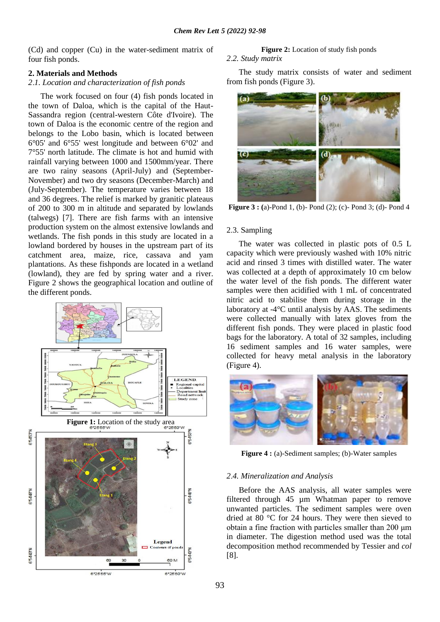(Cd) and copper (Cu) in the water-sediment matrix of four fish ponds.

# **2. Materials and Methods**

# *2*.*1. Location and characterization of fish ponds*

 The work focused on four (4) fish ponds located in the town of Daloa, which is the capital of the Haut-Sassandra region (central-western Côte d'Ivoire). The town of Daloa is the economic centre of the region and belongs to the Lobo basin, which is located between 6°05' and 6°55' west longitude and between 6°02' and 7°55' north latitude. The climate is hot and humid with rainfall varying between 1000 and 1500mm/year. There are two rainy seasons (April-July) and (September-November) and two dry seasons (December-March) and (July-September). The temperature varies between 18 and 36 degrees. The relief is marked by granitic plateaus of 200 to 300 m in altitude and separated by lowlands (talwegs) [7]. There are fish farms with an intensive production system on the almost extensive lowlands and wetlands. The fish ponds in this study are located in a lowland bordered by houses in the upstream part of its catchment area, maize, rice, cassava and yam plantations. As these fishponds are located in a wetland (lowland), they are fed by spring water and a river. Figure 2 shows the geographical location and outline of the different ponds.



#### **Figure 2:** Location of study fish ponds *2*.*2. Study matrix*

 The study matrix consists of water and sediment from fish ponds (Figure 3).



**Figure 3 : (**a)-Pond 1, (b)- Pond (2); (c)- Pond 3; (d)- Pond 4

#### 2.3. Sampling

 The water was collected in plastic pots of 0.5 L capacity which were previously washed with 10% nitric acid and rinsed 3 times with distilled water. The water was collected at a depth of approximately 10 cm below the water level of the fish ponds. The different water samples were then acidified with 1 mL of concentrated nitric acid to stabilise them during storage in the laboratory at -4°C until analysis by AAS. The sediments were collected manually with latex gloves from the different fish ponds. They were placed in plastic food bags for the laboratory. A total of 32 samples, including 16 sediment samples and 16 water samples, were collected for heavy metal analysis in the laboratory (Figure 4).



**Figure 4 :** (a)-Sediment samples; (b)-Water samples

### *2*.*4. Mineralization and Analysis*

 Before the AAS analysis, all water samples were filtered through 45 um Whatman paper to remove unwanted particles. The sediment samples were oven dried at 80 °C for 24 hours. They were then sieved to obtain a fine fraction with particles smaller than 200 μm in diameter. The digestion method used was the total decomposition method recommended by Tessier and *col* [8].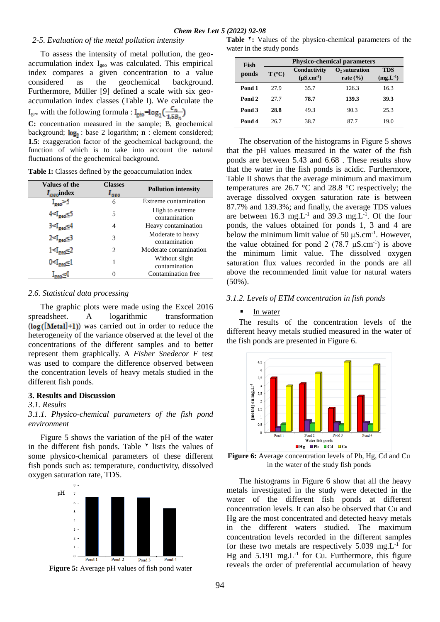#### *2-5. Evaluation of the metal pollution intensity*

 To assess the intensity of metal pollution, the geoaccumulation index Igeo was calculated. This empirical index compares a given concentration to a value considered as the geochemical background. Furthermore, Müller [9] defined a scale with six geoaccumulation index classes (Table I). We calculate the  $I_{\text{geo}}$  with the following formula :  $I_{\text{geo}} = \log_2(\frac{C_n}{1.5B_n})$ 

**C:** concentration measured in the sample; B, geochemical background;  $log_2$ : base 2 logarithm; **n** : element considered; **1.5**: exaggeration factor of the geochemical background, the function of which is to take into account the natural fluctuations of the geochemical background.

| Table I: Classes defined by the geoaccumulation index |  |  |  |  |  |  |  |
|-------------------------------------------------------|--|--|--|--|--|--|--|
|-------------------------------------------------------|--|--|--|--|--|--|--|

| Values of the<br>$I_{\text{geo}}$ index                                     | <b>Classes</b><br>l aeo     | <b>Pollution intensity</b>         |
|-----------------------------------------------------------------------------|-----------------------------|------------------------------------|
| $I_{\text{geo}}$ >5                                                         | 6                           | Extreme contamination              |
| 4 <igeo< td=""><td>5</td><td>High to extreme<br/>contamination</td></igeo<> | 5                           | High to extreme<br>contamination   |
| 4⊵‱24                                                                       | 4                           | Heavy contamination                |
| $2 < I_{\text{geo}} < 3$                                                    | 3                           | Moderate to heavy<br>contamination |
| 1 <i<sub>zeo≤2</i<sub>                                                      | $\mathcal{D}_{\mathcal{L}}$ | Moderate contamination             |
|                                                                             | 1                           | Without slight<br>contamination    |
|                                                                             |                             | Contamination free                 |

#### *2*.*6. Statistical data processing*

 The graphic plots were made using the Excel 2016 spreadsheet. A logarithmic transformation  $(\log([\text{Meta}]+1))$  was carried out in order to reduce the heterogeneity of the variance observed at the level of the concentrations of the different samples and to better represent them graphically. A *Fisher Snedecor F* test was used to compare the difference observed between the concentration levels of heavy metals studied in the different fish ponds.

#### **3. Results and Discussion**

#### *3*.*1. Results*

# *3*.*1*.*1. Physico-chemical parameters of the fish pond environment*

 Figure 5 shows the variation of the pH of the water in the different fish ponds. Table  $\gamma$  lists the values of some physico-chemical parameters of these different fish ponds such as: temperature, conductivity, dissolved oxygen saturation rate, TDS.





Table <sup>\*</sup>: Values of the physico-chemical parameters of the water in the study ponds

| Fish   | <b>Physico-chemical parameters</b> |                                   |                                                              |                             |  |  |
|--------|------------------------------------|-----------------------------------|--------------------------------------------------------------|-----------------------------|--|--|
| ponds  | $T (^{\circ}C)$                    | Conductivity<br>$(\mu S.cm^{-1})$ | $\mathbf{O}_2$ saturation<br>rate $\left(\frac{9}{6}\right)$ | <b>TDS</b><br>$(mg.L^{-1})$ |  |  |
| Pond 1 | 27.9                               | 35.7                              | 126.3                                                        | 16.3                        |  |  |
| Pond 2 | 27.7                               | 78.7                              | 139.3                                                        | 39.3                        |  |  |
| Pond 3 | 28.8                               | 49.3                              | 90.3                                                         | 25.3                        |  |  |
| Pond 4 | 26.7                               | 38.7                              | 87.7                                                         | 19.0                        |  |  |

 The observation of the histograms in Figure 5 shows that the pH values measured in the water of the fish ponds are between 5.43 and 6.68 . These results show that the water in the fish ponds is acidic. Furthermore, Table II shows that the average minimum and maximum temperatures are 26.7 °C and 28.8 °C respectively; the average dissolved oxygen saturation rate is between 87.7% and 139.3%; and finally, the average TDS values are between  $16.3 \text{ mg}$ . L<sup>-1</sup> and  $39.3 \text{ mg}$ . L<sup>-1</sup>. Of the four ponds, the values obtained for ponds 1, 3 and 4 are below the minimum limit value of 50  $\mu$ S.cm<sup>-1</sup>. However, the value obtained for pond 2  $(78.7 \mu S.cm^{-1})$  is above the minimum limit value. The dissolved oxygen saturation flux values recorded in the ponds are all above the recommended limit value for natural waters (50%).

#### *3*.*1*.*2. Levels of ETM concentration in fish ponds*

#### **I**n water

 The results of the concentration levels of the different heavy metals studied measured in the water of the fish ponds are presented in Figure 6.



Figure 6: Average concentration levels of Pb, Hg, Cd and Cu in the water of the study fish ponds

 The histograms in Figure 6 show that all the heavy metals investigated in the study were detected in the water of the different fish ponds at different concentration levels. It can also be observed that Cu and Hg are the most concentrated and detected heavy metals in the different waters studied. The maximum concentration levels recorded in the different samples for these two metals are respectively  $5.039 \text{ mg}$ . L<sup>-1</sup> for Hg and  $5.191 \text{ mg} \cdot L^{-1}$  for Cu. Furthermore, this figure reveals the order of preferential accumulation of heavy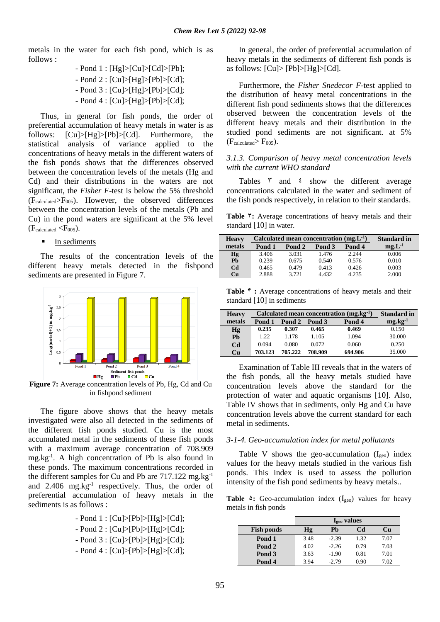metals in the water for each fish pond, which is as follows :

> - Pond 1 : [Hg]>[Cu]>[Cd]>[Pb]; - Pond 2 : [Cu]>[Hg]>[Pb]>[Cd]; - Pond 3 : [Cu]>[Hg]>[Pb]>[Cd]; - Pond 4 : [Cu]>[Hg]>[Pb]>[Cd];

 Thus, in general for fish ponds, the order of preferential accumulation of heavy metals in water is as follows: [Cu]>[Hg]>[Pb]>[Cd]. Furthermore, the statistical analysis of variance applied to the concentrations of heavy metals in the different waters of the fish ponds shows that the differences observed between the concentration levels of the metals (Hg and Cd) and their distributions in the waters are not significant, the *Fisher F*-test is below the 5% threshold  $(F_{calculated} > F_{005})$ . However, the observed differences between the concentration levels of the metals (Pb and Cu) in the pond waters are significant at the 5% level  $(F_{calculated} < F_{005})$ .

**In sediments** 

 The results of the concentration levels of the different heavy metals detected in the fishpond sediments are presented in Figure 7.



**Figure 7:** Average concentration levels of Pb, Hg, Cd and Cu in fishpond sediment

 The figure above shows that the heavy metals investigated were also all detected in the sediments of the different fish ponds studied. Cu is the most accumulated metal in the sediments of these fish ponds with a maximum average concentration of 708.909 mg.kg-1 . A high concentration of Pb is also found in these ponds. The maximum concentrations recorded in the different samples for Cu and Pb are  $717.122$  mg.kg<sup>-1</sup> and 2.406 mg.kg<sup>-1</sup> respectively. Thus, the order of preferential accumulation of heavy metals in the sediments is as follows :

> - Pond 1 : [Cu]>[Pb]>[Hg]>[Cd]; - Pond 2 : [Cu]>[Pb]>[Hg]>[Cd]; - Pond 3 : [Cu]>[Pb]>[Hg]>[Cd];

> - Pond 4 : [Cu]>[Pb]>[Hg]>[Cd];

 In general, the order of preferential accumulation of heavy metals in the sediments of different fish ponds is as follows: [Cu]> [Pb]>[Hg]>[Cd].

 Furthermore, the *Fisher Snedecor F*-test applied to the distribution of heavy metal concentrations in the different fish pond sediments shows that the differences observed between the concentration levels of the different heavy metals and their distribution in the studied pond sediments are not significant. at 5%  $(F_{calculated} > F_{005})$ .

# *3*.*1*.*3. Comparison of heavy metal concentration levels with the current WHO standard*

Tables  $\bar{y}$  and  $\bar{z}$  show the different average concentrations calculated in the water and sediment of the fish ponds respectively, in relation to their standards.

Table  $\overline{ }$ : Average concentrations of heavy metals and their standard [10] in water.

| <b>Heavy</b>   | Calculated mean concentration $(mg.L^{-1})$ | <b>Standard in</b> |        |        |             |
|----------------|---------------------------------------------|--------------------|--------|--------|-------------|
| metals         | Pond 1                                      | Pond 2             | Pond 3 | Pond 4 | $mg.L^{-1}$ |
| Hg             | 3.406                                       | 3.031              | 1.476  | 2.244  | 0.006       |
| Ph             | 0.239                                       | 0.675              | 0.540  | 0.576  | 0.010       |
| C <sub>d</sub> | 0.465                                       | 0.479              | 0.413  | 0.426  | 0.003       |
| <b>Cu</b>      | 2.888                                       | 3.721              | 4.432  | 4.235  | 2.000       |

Table  $\mathbf{\hat{r}}$  **:** Average concentrations of heavy metals and their standard [10] in sediments

| <b>Heavy</b>   | Calculated mean concentration $(mg \text{.} kg^{-1})$ | <b>Standard in</b> |         |         |                    |
|----------------|-------------------------------------------------------|--------------------|---------|---------|--------------------|
| metals         | Pond 1                                                | Pond 2             | Pond 3  | Pond 4  | $mg \cdot kg^{-1}$ |
| Hg             | 0.235                                                 | 0.307              | 0.465   | 0.469   | 0.150              |
| Ph             | 1.22                                                  | 1.178              | 1.105   | 1.094   | 30.000             |
| C <sub>d</sub> | 0.094                                                 | 0.080              | 0.072   | 0.060   | 0.250              |
| Cu             | 703.123                                               | 705.222            | 708.909 | 694.906 | 35.000             |

 Examination of Table III reveals that in the waters of the fish ponds, all the heavy metals studied have concentration levels above the standard for the protection of water and aquatic organisms [10]. Also, Table IV shows that in sediments, only Hg and Cu have concentration levels above the current standard for each metal in sediments.

# *3-1-4. Geo-accumulation index for metal pollutants*

Table V shows the geo-accumulation  $(I_{geo})$  index values for the heavy metals studied in the various fish ponds. This index is used to assess the pollution intensity of the fish pond sediments by heavy metals..

Table  $\triangle$ : Geo-accumulation index (I<sub>geo</sub>) values for heavy metals in fish ponds

|                   | I <sub>geo</sub> values |           |      |      |
|-------------------|-------------------------|-----------|------|------|
| <b>Fish ponds</b> | Hg                      | <b>Ph</b> | Cd   | Cп   |
| Pond 1            | 3.48                    | $-2.39$   | 1.32 | 7.07 |
| Pond 2            | 4.02                    | $-2.26$   | 0.79 | 7.03 |
| Pond 3            | 3.63                    | $-1.90$   | 0.81 | 7.01 |
| Pond 4            | 3.94                    | $-2.79$   | 0.90 | 7.02 |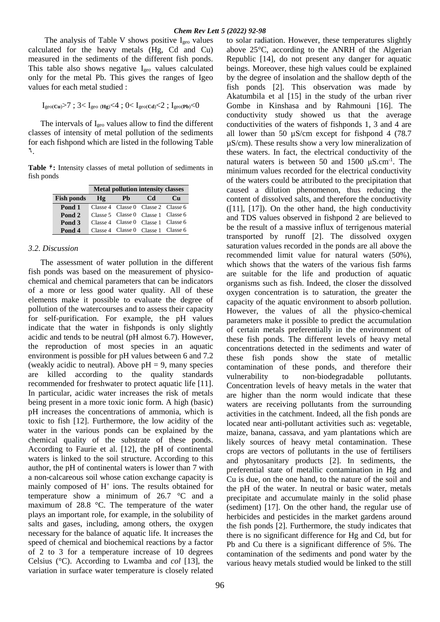The analysis of Table V shows positive  $I_{\text{geo}}$  values calculated for the heavy metals (Hg, Cd and Cu) measured in the sediments of the different fish ponds. This table also shows negative I<sub>geo</sub> values calculated only for the metal Pb. This gives the ranges of Igeo values for each metal studied :

 $I_{\text{geo}(Cu)}$ >7 ; 3<  $I_{\text{geo}(Hg)}$  <4 ; 0<  $I_{\text{geo}(Cd)}$  <2 ;  $I_{\text{geo}(Pb)}$  <0

The intervals of  $I_{\text{geo}}$  values allow to find the different classes of intensity of metal pollution of the sediments for each fishpond which are listed in the following Table ٦.

Table  $\hat{\tau}$ : Intensity classes of metal pollution of sediments in fish ponds

|                   | <b>Metal pollution intensity classes</b> |                                                    |     |             |  |  |
|-------------------|------------------------------------------|----------------------------------------------------|-----|-------------|--|--|
| <b>Fish ponds</b> | Hg                                       | <b>Pb</b>                                          | Cd. | $_{\rm Cu}$ |  |  |
| Pond 1            |                                          | Classe 4 Classe 0 Classe 2 Classe 6                |     |             |  |  |
| Pond 2            |                                          | Classe 5 Classe 0 Classe 1 Classe 6                |     |             |  |  |
| Pond 3            |                                          | Classe 4 $\,$ Classe 0 $\,$ Classe 1 $\,$ Classe 6 |     |             |  |  |
| Pond 4            |                                          | Classe 4 $\,$ Classe 0 $\,$ Classe 1 $\,$ Classe 6 |     |             |  |  |

# *3.2. Discussion*

 The assessment of water pollution in the different fish ponds was based on the measurement of physicochemical and chemical parameters that can be indicators of a more or less good water quality. All of these elements make it possible to evaluate the degree of pollution of the watercourses and to assess their capacity for self-purification. For example, the pH values indicate that the water in fishponds is only slightly acidic and tends to be neutral (pH almost 6.7). However, the reproduction of most species in an aquatic environment is possible for pH values between 6 and 7.2 (weakly acidic to neutral). Above  $pH = 9$ , many species are killed according to the quality standards recommended for freshwater to protect aquatic life [11]. In particular, acidic water increases the risk of metals being present in a more toxic ionic form. A high (basic) pH increases the concentrations of ammonia, which is toxic to fish [12]. Furthermore, the low acidity of the water in the various ponds can be explained by the chemical quality of the substrate of these ponds. According to Faurie et al. [12], the pH of continental waters is linked to the soil structure. According to this author, the pH of continental waters is lower than 7 with a non-calcareous soil whose cation exchange capacity is mainly composed of H<sup>+</sup> ions. The results obtained for temperature show a minimum of 26.7 °C and a maximum of 28.8 °C. The temperature of the water plays an important role, for example, in the solubility of salts and gases, including, among others, the oxygen necessary for the balance of aquatic life. It increases the speed of chemical and biochemical reactions by a factor of 2 to 3 for a temperature increase of 10 degrees Celsius (°C). According to Lwamba and *col* [13], the variation in surface water temperature is closely related

to solar radiation. However, these temperatures slightly above 25°C, according to the ANRH of the Algerian Republic [14], do not present any danger for aquatic beings. Moreover, these high values could be explained by the degree of insolation and the shallow depth of the fish ponds [2]. This observation was made by Akatumbila et al [15] in the study of the urban river Gombe in Kinshasa and by Rahmouni [16]. The conductivity study showed us that the average conductivities of the waters of fishponds 1, 3 and 4 are all lower than 50 µS/cm except for fishpond 4 (78.7 µS/cm). These results show a very low mineralization of these waters. In fact, the electrical conductivity of the natural waters is between 50 and  $1500 \mu S.cm^{-1}$ . The minimum values recorded for the electrical conductivity of the waters could be attributed to the precipitation that caused a dilution phenomenon, thus reducing the content of dissolved salts, and therefore the conductivity  $([11], [17])$ . On the other hand, the high conductivity and TDS values observed in fishpond 2 are believed to be the result of a massive influx of terrigenous material transported by runoff [2]. The dissolved oxygen saturation values recorded in the ponds are all above the recommended limit value for natural waters (50%), which shows that the waters of the various fish farms are suitable for the life and production of aquatic organisms such as fish. Indeed, the closer the dissolved oxygen concentration is to saturation, the greater the capacity of the aquatic environment to absorb pollution. However, the values of all the physico-chemical parameters make it possible to predict the accumulation of certain metals preferentially in the environment of these fish ponds. The different levels of heavy metal concentrations detected in the sediments and water of these fish ponds show the state of metallic contamination of these ponds, and therefore their vulnerability to non-biodegradable pollutants. Concentration levels of heavy metals in the water that are higher than the norm would indicate that these waters are receiving pollutants from the surrounding activities in the catchment. Indeed, all the fish ponds are located near anti-pollutant activities such as: vegetable, maize, banana, cassava, and yam plantations which are likely sources of heavy metal contamination. These crops are vectors of pollutants in the use of fertilisers and phytosanitary products [2]. In sediments, the preferential state of metallic contamination in Hg and Cu is due, on the one hand, to the nature of the soil and the pH of the water. In neutral or basic water, metals precipitate and accumulate mainly in the solid phase (sediment) [17]. On the other hand, the regular use of herbicides and pesticides in the market gardens around the fish ponds [2]. Furthermore, the study indicates that there is no significant difference for Hg and Cd, but for Pb and Cu there is a significant difference of 5%. The contamination of the sediments and pond water by the various heavy metals studied would be linked to the still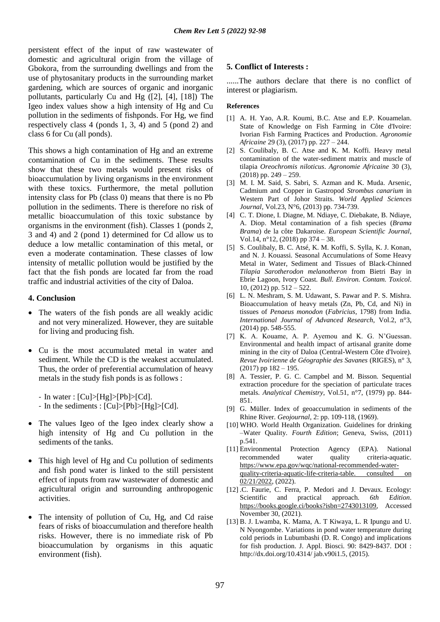persistent effect of the input of raw wastewater of domestic and agricultural origin from the village of Gbokora, from the surrounding dwellings and from the use of phytosanitary products in the surrounding market gardening, which are sources of organic and inorganic pollutants, particularly Cu and Hg ([2], [4], [18]) The Igeo index values show a high intensity of Hg and Cu pollution in the sediments of fishponds. For Hg, we find respectively class 4 (ponds 1, 3, 4) and 5 (pond 2) and class 6 for Cu (all ponds).

This shows a high contamination of Hg and an extreme contamination of Cu in the sediments. These results show that these two metals would present risks of bioaccumulation by living organisms in the environment with these toxics. Furthermore, the metal pollution intensity class for Pb (class 0) means that there is no Pb pollution in the sediments. There is therefore no risk of metallic bioaccumulation of this toxic substance by organisms in the environment (fish). Classes 1 (ponds 2, 3 and 4) and 2 (pond 1) determined for Cd allow us to deduce a low metallic contamination of this metal, or even a moderate contamination. These classes of low intensity of metallic pollution would be justified by the fact that the fish ponds are located far from the road traffic and industrial activities of the city of Daloa.

# **4. Conclusion**

- The waters of the fish ponds are all weakly acidic and not very mineralized. However, they are suitable for living and producing fish.
- Cu is the most accumulated metal in water and sediment. While the CD is the weakest accumulated. Thus, the order of preferential accumulation of heavy metals in the study fish ponds is as follows :

- In water :  $|Cu| > |Hg| > |Pb| > |Cd|$ .

- In the sediments : [Cu]>[Pb]>[Hg]>[Cd].
- The values Igeo of the Igeo index clearly show a high intensity of Hg and Cu pollution in the sediments of the tanks.
- This high level of Hg and Cu pollution of sediments and fish pond water is linked to the still persistent effect of inputs from raw wastewater of domestic and agricultural origin and surrounding anthropogenic activities.
- The intensity of pollution of Cu, Hg, and Cd raise fears of risks of bioaccumulation and therefore health risks. However, there is no immediate risk of Pb bioaccumulation by organisms in this aquatic environment (fish).

# **5. Conflict of Interests :**

......The authors declare that there is no conflict of interest or plagiarism.

# **References**

- [1] A. H. Yao, A.R. Koumi, B.C. Atse and E.P. Kouamelan. State of Knowledge on Fish Farming in Côte d'Ivoire: Ivorian Fish Farming Practices and Production. *Agronomie Africaine* 29 (3), (2017) pp. 227 – 244.
- [2] S. Coulibaly, B. C. Atse and K. M. Koffi. Heavy metal contamination of the water-sediment matrix and muscle of tilapia *Oreochromis niloticus*. *Agronomie Africaine* 30 (3),  $(2018)$  pp. 249 – 259.
- [3] M. I. M. Said, S. Sabri, S. Azman and K. Muda. Arsenic, Cadmium and Copper in Gastropod *Strombus canarium* in Western Part of Johor Straits. *World Applied Sciences Journal*, Vol.23, N°6, (2013) pp. 734-739.
- [4] C. T. Dione, I. Diagne, M. Ndiaye, C. Diebakate, B. Ndiaye, A. Diop. Metal contamination of a fish species (*Brama Brama*) de la côte Dakaroise. *European Scientific Journal*, Vol.14, n°12, (2018) pp 374 – 38.
- [5] S. Coulibaly, B. C. Atsé, K. M. Koffi, S. Sylla, K. J. Konan, and N. J. Kouassi. Seasonal Accumulations of Some Heavy Metal in Water, Sediment and Tissues of Black-Chinned *Tilapia Sarotherodon melanotheron* from Bietri Bay in Ebrie Lagoon, Ivory Coast. *Bull. Environ. Contam. Toxicol*. 10, (2012) pp. 512 – 522.
- [6] L. N. Meshram, S. M. Udawant, S. Pawar and P. S. Mishra. Bioaccumulation of heavy metals (Zn, Pb, Cd, and Ni) in tissues of *Penaeus monodon* (*Fabricius*, 1798) from India. *International Journal of Advanced Research*, Vol.2, n°3, (2014) pp. 548-555.
- [7] K. A. Kouame, A. P. Ayemou and K. G. N'Guessan. Environmental and health impact of artisanal granite dome mining in the city of Daloa (Central-Western Côte d'Ivoire). *Revue Ivoirienne de Géographie des Savanes* (RIGES), n° 3, (2017) pp 182 – 195.
- [8] A. Tessier, P. G. C. Campbel and M. Bisson. Sequential extraction procedure for the speciation of particulate traces metals. *Analytical Chemistry*, Vol.51, n°7, (1979) pp. 844- 851.
- [9] G. Müller. Index of geoaccumulation in sediments of the Rhine River. *Geojournal,* 2: pp. 109-118, (1969).
- [10] WHO. World Health Organization. Guidelines for drinking –Water Quality. *Fourth Edition*; Geneva, Swiss, (2011) p.541.
- [11] Environmental Protection Agency (EPA). National recommended water quality criteria-aquatic. [https://www.epa.gov/wqc/national-recommended-water](https://www.epa.gov/wqc/national-recommended-water-quality-criteria-aquatic-life-criteria-table.%20consulted%20on%2002/21/2022)[quality-criteria-aquatic-life-criteria-table. consulted on](https://www.epa.gov/wqc/national-recommended-water-quality-criteria-aquatic-life-criteria-table.%20consulted%20on%2002/21/2022)  [02/21/2022,](https://www.epa.gov/wqc/national-recommended-water-quality-criteria-aquatic-life-criteria-table.%20consulted%20on%2002/21/2022) (2022).
- [12] .C. Faurie, C. Ferra, P. Medori and J. Devaux. Ecology: Scientific and practical approach. *6th Edition*. [https://books.google.ci/books?isbn=2743013109,](https://books.google.ci/books?isbn=2743013109) Accessed November 30, (2021).
- [13] B. J. Lwamba, K. Mama, A. T Kiwaya, L. R Ipungu and U. N Nyongombe. Variations in pond water temperature during cold periods in Lubumbashi (D. R. Congo) and implications for fish production. J. Appl. Biosci. 90: 8429-8437. DOI : http://dx.doi.org/10.4314/ jab.v90i1.5, (2015).